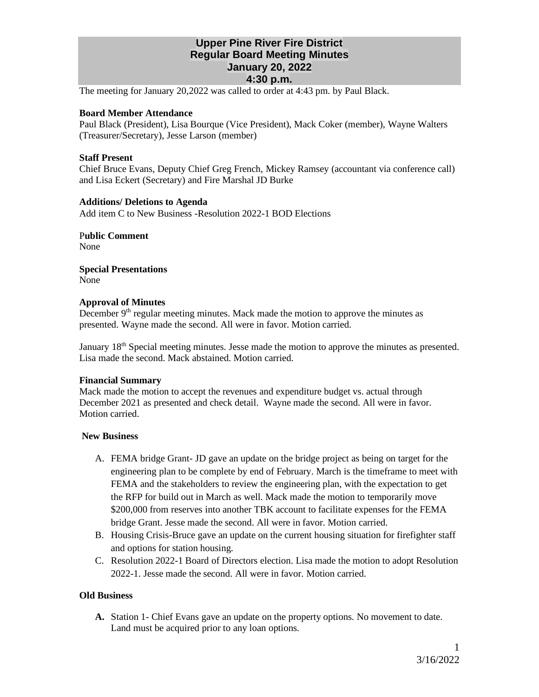# **Upper Pine River Fire District Regular Board Meeting Minutes January 20, 2022 4:30 p.m.**

The meeting for January 20,2022 was called to order at 4:43 pm. by Paul Black.

## **Board Member Attendance**

Paul Black (President), Lisa Bourque (Vice President), Mack Coker (member), Wayne Walters (Treasurer/Secretary), Jesse Larson (member)

## **Staff Present**

Chief Bruce Evans, Deputy Chief Greg French, Mickey Ramsey (accountant via conference call) and Lisa Eckert (Secretary) and Fire Marshal JD Burke

### **Additions/ Deletions to Agenda**

Add item C to New Business -Resolution 2022-1 BOD Elections

P**ublic Comment** None

**Special Presentations** None

### **Approval of Minutes**

December  $9<sup>th</sup>$  regular meeting minutes. Mack made the motion to approve the minutes as presented. Wayne made the second. All were in favor. Motion carried.

January 18<sup>th</sup> Special meeting minutes. Jesse made the motion to approve the minutes as presented. Lisa made the second. Mack abstained. Motion carried.

#### **Financial Summary**

Mack made the motion to accept the revenues and expenditure budget vs. actual through December 2021 as presented and check detail. Wayne made the second. All were in favor. Motion carried.

# **New Business**

- A. FEMA bridge Grant- JD gave an update on the bridge project as being on target for the engineering plan to be complete by end of February. March is the timeframe to meet with FEMA and the stakeholders to review the engineering plan, with the expectation to get the RFP for build out in March as well. Mack made the motion to temporarily move \$200,000 from reserves into another TBK account to facilitate expenses for the FEMA bridge Grant. Jesse made the second. All were in favor. Motion carried.
- B. Housing Crisis-Bruce gave an update on the current housing situation for firefighter staff and options for station housing.
- C. Resolution 2022-1 Board of Directors election. Lisa made the motion to adopt Resolution 2022-1. Jesse made the second. All were in favor. Motion carried.

# **Old Business**

**A.** Station 1- Chief Evans gave an update on the property options. No movement to date. Land must be acquired prior to any loan options.